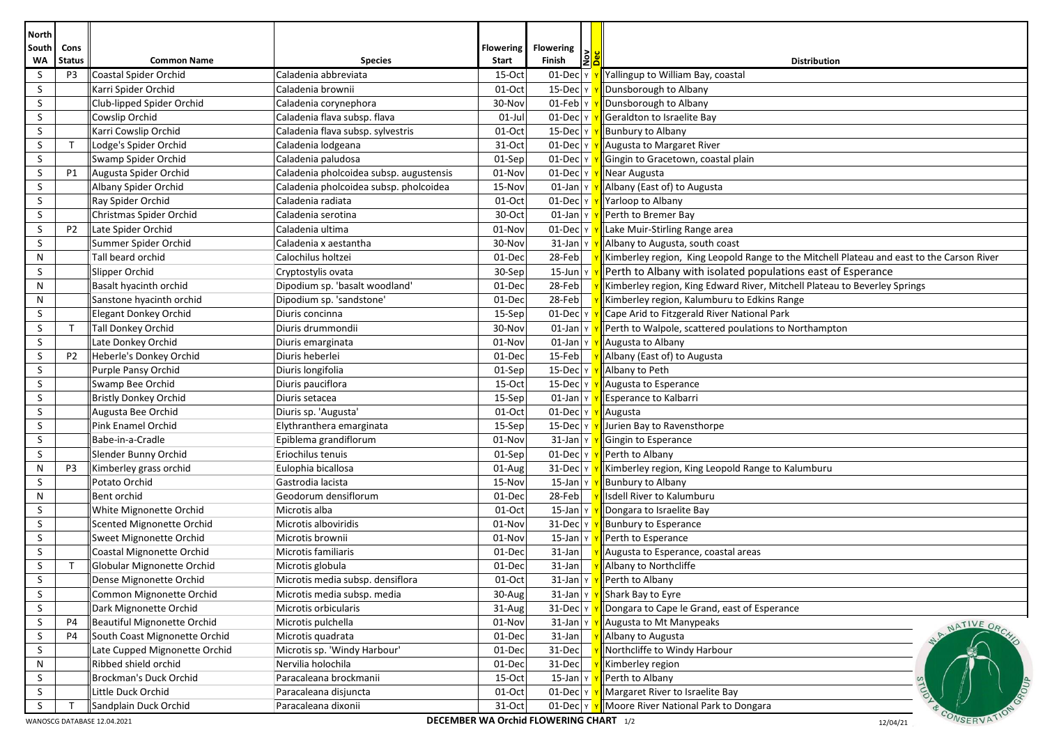| Cons<br><b>Flowering</b><br><b>South</b><br><b>Flowering</b><br>WA<br><b>Status</b><br><b>Common Name</b><br>Finish<br><b>Species</b><br>Start<br><b>Distribution</b><br>Coastal Spider Orchid<br>S<br>P3<br>Caladenia abbreviata<br>15-Oct<br>01-Dec<br>Yallingup to William Bay, coastal<br>S<br>Karri Spider Orchid<br>Caladenia brownii<br>$01-Oct$<br>$15$ -Dec<br>Dunsborough to Albany<br>S<br>$01$ -Feb<br>Club-lipped Spider Orchid<br>30-Nov<br>Dunsborough to Albany<br>Caladenia corynephora<br>S<br>$01$ -Jul<br>Geraldton to Israelite Bay<br>Cowslip Orchid<br>Caladenia flava subsp. flava<br>01-Dec<br>S<br>Karri Cowslip Orchid<br>Caladenia flava subsp. sylvestris<br>$01-Oct$<br>$15$ -Dec $\vert$ Y<br><b>Bunbury to Albany</b><br>S<br>T<br>Lodge's Spider Orchid<br>31-Oct<br>$01$ -Dec $\vert$ Y<br>Augusta to Margaret River<br>Caladenia lodgeana<br>S<br>Caladenia paludosa<br>$01$ -Dec<br>Swamp Spider Orchid<br>01-Sep<br>Gingin to Gracetown, coastal plain<br>S<br>Caladenia pholcoidea subsp. augustensis<br>P1<br>Augusta Spider Orchid<br>01-Nov<br>$01$ -Dec<br>Near Augusta<br>S<br>Albany Spider Orchid<br>Caladenia pholcoidea subsp. pholcoidea<br>$01$ -Jan<br>Albany (East of) to Augusta<br>15-Nov<br>S<br>Ray Spider Orchid<br>Caladenia radiata<br>01-Oct<br>01-Dec<br>Yarloop to Albany<br>S<br>30-Oct<br>Christmas Spider Orchid<br>Caladenia serotina<br>$01$ -Jan<br>Perth to Bremer Bay<br>S<br>Late Spider Orchid<br>Caladenia ultima<br>01-Nov<br>$01$ -Dec<br>Lake Muir-Stirling Range area<br>P <sub>2</sub><br>S<br>Summer Spider Orchid<br>30-Nov<br>$31$ -Jan<br>Caladenia x aestantha<br>Albany to Augusta, south coast<br>28-Feb<br>N<br>Tall beard orchid<br>Calochilus holtzei<br>01-Dec<br>Kimberley region, King Leopold Range to the Mitchell Plateau and east to the Carson River<br>Perth to Albany with isolated populations east of Esperance<br>S<br>Slipper Orchid<br>Cryptostylis ovata<br>30-Sep<br>$15$ -Jun<br>N<br>Dipodium sp. 'basalt woodland'<br>01-Dec<br>28-Feb<br>Kimberley region, King Edward River, Mitchell Plateau to Beverley Springs<br>Basalt hyacinth orchid<br>N<br>Dipodium sp. 'sandstone'<br>01-Dec<br>28-Feb<br>Kimberley region, Kalumburu to Edkins Range<br>Sanstone hyacinth orchid<br>Diuris concinna<br>01-Dec<br>S<br>Elegant Donkey Orchid<br>15-Sep<br>Cape Arid to Fitzgerald River National Park<br>S<br>$\top$<br><b>Tall Donkey Orchid</b><br>Diuris drummondii<br>30-Nov<br>$01$ -Jan<br>Perth to Walpole, scattered poulations to Northampton<br>S<br>Late Donkey Orchid<br>01-Nov<br>$01$ -Jan<br>Diuris emarginata<br>Augusta to Albany<br>S<br>Diuris heberlei<br>15-Feb<br>P <sub>2</sub><br>Heberle's Donkey Orchid<br>01-Dec<br>Albany (East of) to Augusta<br>S<br>Diuris longifolia<br>Purple Pansy Orchid<br>01-Sep<br>$15$ -Dec $\vert$ Y<br>Albany to Peth<br>S<br>Swamp Bee Orchid<br>Diuris pauciflora<br>15-Oct<br>$15$ -Dec $\vert$ Y<br>Augusta to Esperance<br>S<br>Bristly Donkey Orchid<br>Diuris setacea<br>15-Sep<br>$01$ -Jan $\vert$ Y<br>Esperance to Kalbarri<br>S<br>$01$ -Dec<br>Augusta Bee Orchid<br>Diuris sp. 'Augusta'<br>$01-Oct$<br>Augusta<br>S<br>Pink Enamel Orchid<br>$15$ -Dec<br>Elythranthera emarginata<br>15-Sep<br>Jurien Bay to Ravensthorpe<br>S<br>Babe-in-a-Cradle<br>Epiblema grandiflorum<br>01-Nov<br>$31$ -Jan<br>Gingin to Esperance<br>S<br>Slender Bunny Orchid<br>Eriochilus tenuis<br>$01$ -Dec<br>Perth to Albany<br>01-Sep<br>$\mathsf{N}$<br>P <sub>3</sub><br>Kimberley grass orchid<br>Eulophia bicallosa<br>01-Aug<br>31-Dec<br>Kimberley region, King Leopold Range to Kalumburu<br>Potato Orchid<br>S<br>Gastrodia lacista<br>15-Nov<br>$15$ -Jan<br><b>Bunbury to Albany</b><br>N<br>Bent orchid<br>Geodorum densiflorum<br>01-Dec<br>28-Feb<br>Isdell River to Kalumburu<br>S<br>White Mignonette Orchid<br>Microtis alba<br>01-Oct<br>$15$ -Jan<br>Dongara to Israelite Bay<br>S<br>Scented Mignonette Orchid<br>Microtis alboviridis<br>01-Nov<br>31-Dec<br><b>Bunbury to Esperance</b><br>S<br>Sweet Mignonette Orchid<br>$15$ -Jan<br>Microtis brownii<br>01-Nov<br>Perth to Esperance<br>S<br>31-Jan<br>Coastal Mignonette Orchid<br>Microtis familiaris<br>01-Dec<br>Augusta to Esperance, coastal areas<br>S<br>$\top$<br>Globular Mignonette Orchid<br>01-Dec<br>31-Jan<br>Albany to Northcliffe<br>Microtis globula<br>Microtis media subsp. densiflora<br>$01$ -Oct<br>$31$ -Jan Y<br>$\mathsf S$<br>Dense Mignonette Orchid<br>Perth to Albany<br>S<br>30-Aug<br>$31$ -Jan $\vert$ Y<br>Shark Bay to Eyre<br>Common Mignonette Orchid<br>Microtis media subsp. media<br>$\mathsf S$<br>Dark Mignonette Orchid<br>Dongara to Cape le Grand, east of Esperance<br>Microtis orbicularis<br>31-Aug<br>$31$ -Dec<br>Beautiful Mignonette Orchid<br>S<br>P <sub>4</sub><br>Microtis pulchella<br>01-Nov<br>$31$ -Jan<br>Augusta to Mt Manypeaks<br>NATIVE ORCA<br>S<br>South Coast Mignonette Orchid<br><b>P4</b><br>Microtis quadrata<br>01-Dec<br>$31$ -Jan<br>Albany to Augusta<br>S<br>Late Cupped Mignonette Orchid<br>Microtis sp. 'Windy Harbour'<br>01-Dec<br>31-Dec<br>Northcliffe to Windy Harbour<br>$\mathsf{N}$<br>Ribbed shield orchid<br>Nervilia holochila<br>01-Dec<br>31-Dec<br>Kimberley region<br>S<br>Brockman's Duck Orchid<br>Paracaleana brockmanii<br>$15$ -Jan $\sqrt{ }$<br>Perth to Albany<br>$15-Oct$<br>S<br>Margaret River to Israelite Bay<br>Little Duck Orchid<br>Paracaleana disjuncta<br>01-Oct<br>$01$ -Dec $ v $<br>S<br>Sandplain Duck Orchid<br>Paracaleana dixonii<br>31-Oct<br>Moore River National Park to Dongara<br>$01$ -Dec $\vert$ Y | <b>North</b> |  |  |  |             |
|------------------------------------------------------------------------------------------------------------------------------------------------------------------------------------------------------------------------------------------------------------------------------------------------------------------------------------------------------------------------------------------------------------------------------------------------------------------------------------------------------------------------------------------------------------------------------------------------------------------------------------------------------------------------------------------------------------------------------------------------------------------------------------------------------------------------------------------------------------------------------------------------------------------------------------------------------------------------------------------------------------------------------------------------------------------------------------------------------------------------------------------------------------------------------------------------------------------------------------------------------------------------------------------------------------------------------------------------------------------------------------------------------------------------------------------------------------------------------------------------------------------------------------------------------------------------------------------------------------------------------------------------------------------------------------------------------------------------------------------------------------------------------------------------------------------------------------------------------------------------------------------------------------------------------------------------------------------------------------------------------------------------------------------------------------------------------------------------------------------------------------------------------------------------------------------------------------------------------------------------------------------------------------------------------------------------------------------------------------------------------------------------------------------------------------------------------------------------------------------------------------------------------------------------------------------------------------------------------------------------------------------------------------------------------------------------------------------------------------------------------------------------------------------------------------------------------------------------------------------------------------------------------------------------------------------------------------------------------------------------------------------------------------------------------------------------------------------------------------------------------------------------------------------------------------------------------------------------------------------------------------------------------------------------------------------------------------------------------------------------------------------------------------------------------------------------------------------------------------------------------------------------------------------------------------------------------------------------------------------------------------------------------------------------------------------------------------------------------------------------------------------------------------------------------------------------------------------------------------------------------------------------------------------------------------------------------------------------------------------------------------------------------------------------------------------------------------------------------------------------------------------------------------------------------------------------------------------------------------------------------------------------------------------------------------------------------------------------------------------------------------------------------------------------------------------------------------------------------------------------------------------------------------------------------------------------------------------------------------------------------------------------------------------------------------------------------------------------------------------------------------------------------------------------------------------------------------------------------------------------------------------------------------------------------------------------------------------------------------------------------------------------------------------------------------------------------------------------------------------------------------------------------------------------------------------------------------------------------------------------------------------------------------------------------------------------------------------------------------------------------------------------------------------------------------------------------------------------------------------------------------------------------------------------------------------------------------------------------------------------------------------------------------------------------|--------------|--|--|--|-------------|
|                                                                                                                                                                                                                                                                                                                                                                                                                                                                                                                                                                                                                                                                                                                                                                                                                                                                                                                                                                                                                                                                                                                                                                                                                                                                                                                                                                                                                                                                                                                                                                                                                                                                                                                                                                                                                                                                                                                                                                                                                                                                                                                                                                                                                                                                                                                                                                                                                                                                                                                                                                                                                                                                                                                                                                                                                                                                                                                                                                                                                                                                                                                                                                                                                                                                                                                                                                                                                                                                                                                                                                                                                                                                                                                                                                                                                                                                                                                                                                                                                                                                                                                                                                                                                                                                                                                                                                                                                                                                                                                                                                                                                                                                                                                                                                                                                                                                                                                                                                                                                                                                                                                                                                                                                                                                                                                                                                                                                                                                                                                                                                                                                                                                              |              |  |  |  |             |
|                                                                                                                                                                                                                                                                                                                                                                                                                                                                                                                                                                                                                                                                                                                                                                                                                                                                                                                                                                                                                                                                                                                                                                                                                                                                                                                                                                                                                                                                                                                                                                                                                                                                                                                                                                                                                                                                                                                                                                                                                                                                                                                                                                                                                                                                                                                                                                                                                                                                                                                                                                                                                                                                                                                                                                                                                                                                                                                                                                                                                                                                                                                                                                                                                                                                                                                                                                                                                                                                                                                                                                                                                                                                                                                                                                                                                                                                                                                                                                                                                                                                                                                                                                                                                                                                                                                                                                                                                                                                                                                                                                                                                                                                                                                                                                                                                                                                                                                                                                                                                                                                                                                                                                                                                                                                                                                                                                                                                                                                                                                                                                                                                                                                              |              |  |  |  |             |
|                                                                                                                                                                                                                                                                                                                                                                                                                                                                                                                                                                                                                                                                                                                                                                                                                                                                                                                                                                                                                                                                                                                                                                                                                                                                                                                                                                                                                                                                                                                                                                                                                                                                                                                                                                                                                                                                                                                                                                                                                                                                                                                                                                                                                                                                                                                                                                                                                                                                                                                                                                                                                                                                                                                                                                                                                                                                                                                                                                                                                                                                                                                                                                                                                                                                                                                                                                                                                                                                                                                                                                                                                                                                                                                                                                                                                                                                                                                                                                                                                                                                                                                                                                                                                                                                                                                                                                                                                                                                                                                                                                                                                                                                                                                                                                                                                                                                                                                                                                                                                                                                                                                                                                                                                                                                                                                                                                                                                                                                                                                                                                                                                                                                              |              |  |  |  |             |
|                                                                                                                                                                                                                                                                                                                                                                                                                                                                                                                                                                                                                                                                                                                                                                                                                                                                                                                                                                                                                                                                                                                                                                                                                                                                                                                                                                                                                                                                                                                                                                                                                                                                                                                                                                                                                                                                                                                                                                                                                                                                                                                                                                                                                                                                                                                                                                                                                                                                                                                                                                                                                                                                                                                                                                                                                                                                                                                                                                                                                                                                                                                                                                                                                                                                                                                                                                                                                                                                                                                                                                                                                                                                                                                                                                                                                                                                                                                                                                                                                                                                                                                                                                                                                                                                                                                                                                                                                                                                                                                                                                                                                                                                                                                                                                                                                                                                                                                                                                                                                                                                                                                                                                                                                                                                                                                                                                                                                                                                                                                                                                                                                                                                              |              |  |  |  |             |
|                                                                                                                                                                                                                                                                                                                                                                                                                                                                                                                                                                                                                                                                                                                                                                                                                                                                                                                                                                                                                                                                                                                                                                                                                                                                                                                                                                                                                                                                                                                                                                                                                                                                                                                                                                                                                                                                                                                                                                                                                                                                                                                                                                                                                                                                                                                                                                                                                                                                                                                                                                                                                                                                                                                                                                                                                                                                                                                                                                                                                                                                                                                                                                                                                                                                                                                                                                                                                                                                                                                                                                                                                                                                                                                                                                                                                                                                                                                                                                                                                                                                                                                                                                                                                                                                                                                                                                                                                                                                                                                                                                                                                                                                                                                                                                                                                                                                                                                                                                                                                                                                                                                                                                                                                                                                                                                                                                                                                                                                                                                                                                                                                                                                              |              |  |  |  |             |
|                                                                                                                                                                                                                                                                                                                                                                                                                                                                                                                                                                                                                                                                                                                                                                                                                                                                                                                                                                                                                                                                                                                                                                                                                                                                                                                                                                                                                                                                                                                                                                                                                                                                                                                                                                                                                                                                                                                                                                                                                                                                                                                                                                                                                                                                                                                                                                                                                                                                                                                                                                                                                                                                                                                                                                                                                                                                                                                                                                                                                                                                                                                                                                                                                                                                                                                                                                                                                                                                                                                                                                                                                                                                                                                                                                                                                                                                                                                                                                                                                                                                                                                                                                                                                                                                                                                                                                                                                                                                                                                                                                                                                                                                                                                                                                                                                                                                                                                                                                                                                                                                                                                                                                                                                                                                                                                                                                                                                                                                                                                                                                                                                                                                              |              |  |  |  |             |
|                                                                                                                                                                                                                                                                                                                                                                                                                                                                                                                                                                                                                                                                                                                                                                                                                                                                                                                                                                                                                                                                                                                                                                                                                                                                                                                                                                                                                                                                                                                                                                                                                                                                                                                                                                                                                                                                                                                                                                                                                                                                                                                                                                                                                                                                                                                                                                                                                                                                                                                                                                                                                                                                                                                                                                                                                                                                                                                                                                                                                                                                                                                                                                                                                                                                                                                                                                                                                                                                                                                                                                                                                                                                                                                                                                                                                                                                                                                                                                                                                                                                                                                                                                                                                                                                                                                                                                                                                                                                                                                                                                                                                                                                                                                                                                                                                                                                                                                                                                                                                                                                                                                                                                                                                                                                                                                                                                                                                                                                                                                                                                                                                                                                              |              |  |  |  |             |
|                                                                                                                                                                                                                                                                                                                                                                                                                                                                                                                                                                                                                                                                                                                                                                                                                                                                                                                                                                                                                                                                                                                                                                                                                                                                                                                                                                                                                                                                                                                                                                                                                                                                                                                                                                                                                                                                                                                                                                                                                                                                                                                                                                                                                                                                                                                                                                                                                                                                                                                                                                                                                                                                                                                                                                                                                                                                                                                                                                                                                                                                                                                                                                                                                                                                                                                                                                                                                                                                                                                                                                                                                                                                                                                                                                                                                                                                                                                                                                                                                                                                                                                                                                                                                                                                                                                                                                                                                                                                                                                                                                                                                                                                                                                                                                                                                                                                                                                                                                                                                                                                                                                                                                                                                                                                                                                                                                                                                                                                                                                                                                                                                                                                              |              |  |  |  |             |
|                                                                                                                                                                                                                                                                                                                                                                                                                                                                                                                                                                                                                                                                                                                                                                                                                                                                                                                                                                                                                                                                                                                                                                                                                                                                                                                                                                                                                                                                                                                                                                                                                                                                                                                                                                                                                                                                                                                                                                                                                                                                                                                                                                                                                                                                                                                                                                                                                                                                                                                                                                                                                                                                                                                                                                                                                                                                                                                                                                                                                                                                                                                                                                                                                                                                                                                                                                                                                                                                                                                                                                                                                                                                                                                                                                                                                                                                                                                                                                                                                                                                                                                                                                                                                                                                                                                                                                                                                                                                                                                                                                                                                                                                                                                                                                                                                                                                                                                                                                                                                                                                                                                                                                                                                                                                                                                                                                                                                                                                                                                                                                                                                                                                              |              |  |  |  |             |
|                                                                                                                                                                                                                                                                                                                                                                                                                                                                                                                                                                                                                                                                                                                                                                                                                                                                                                                                                                                                                                                                                                                                                                                                                                                                                                                                                                                                                                                                                                                                                                                                                                                                                                                                                                                                                                                                                                                                                                                                                                                                                                                                                                                                                                                                                                                                                                                                                                                                                                                                                                                                                                                                                                                                                                                                                                                                                                                                                                                                                                                                                                                                                                                                                                                                                                                                                                                                                                                                                                                                                                                                                                                                                                                                                                                                                                                                                                                                                                                                                                                                                                                                                                                                                                                                                                                                                                                                                                                                                                                                                                                                                                                                                                                                                                                                                                                                                                                                                                                                                                                                                                                                                                                                                                                                                                                                                                                                                                                                                                                                                                                                                                                                              |              |  |  |  |             |
|                                                                                                                                                                                                                                                                                                                                                                                                                                                                                                                                                                                                                                                                                                                                                                                                                                                                                                                                                                                                                                                                                                                                                                                                                                                                                                                                                                                                                                                                                                                                                                                                                                                                                                                                                                                                                                                                                                                                                                                                                                                                                                                                                                                                                                                                                                                                                                                                                                                                                                                                                                                                                                                                                                                                                                                                                                                                                                                                                                                                                                                                                                                                                                                                                                                                                                                                                                                                                                                                                                                                                                                                                                                                                                                                                                                                                                                                                                                                                                                                                                                                                                                                                                                                                                                                                                                                                                                                                                                                                                                                                                                                                                                                                                                                                                                                                                                                                                                                                                                                                                                                                                                                                                                                                                                                                                                                                                                                                                                                                                                                                                                                                                                                              |              |  |  |  |             |
|                                                                                                                                                                                                                                                                                                                                                                                                                                                                                                                                                                                                                                                                                                                                                                                                                                                                                                                                                                                                                                                                                                                                                                                                                                                                                                                                                                                                                                                                                                                                                                                                                                                                                                                                                                                                                                                                                                                                                                                                                                                                                                                                                                                                                                                                                                                                                                                                                                                                                                                                                                                                                                                                                                                                                                                                                                                                                                                                                                                                                                                                                                                                                                                                                                                                                                                                                                                                                                                                                                                                                                                                                                                                                                                                                                                                                                                                                                                                                                                                                                                                                                                                                                                                                                                                                                                                                                                                                                                                                                                                                                                                                                                                                                                                                                                                                                                                                                                                                                                                                                                                                                                                                                                                                                                                                                                                                                                                                                                                                                                                                                                                                                                                              |              |  |  |  |             |
|                                                                                                                                                                                                                                                                                                                                                                                                                                                                                                                                                                                                                                                                                                                                                                                                                                                                                                                                                                                                                                                                                                                                                                                                                                                                                                                                                                                                                                                                                                                                                                                                                                                                                                                                                                                                                                                                                                                                                                                                                                                                                                                                                                                                                                                                                                                                                                                                                                                                                                                                                                                                                                                                                                                                                                                                                                                                                                                                                                                                                                                                                                                                                                                                                                                                                                                                                                                                                                                                                                                                                                                                                                                                                                                                                                                                                                                                                                                                                                                                                                                                                                                                                                                                                                                                                                                                                                                                                                                                                                                                                                                                                                                                                                                                                                                                                                                                                                                                                                                                                                                                                                                                                                                                                                                                                                                                                                                                                                                                                                                                                                                                                                                                              |              |  |  |  |             |
|                                                                                                                                                                                                                                                                                                                                                                                                                                                                                                                                                                                                                                                                                                                                                                                                                                                                                                                                                                                                                                                                                                                                                                                                                                                                                                                                                                                                                                                                                                                                                                                                                                                                                                                                                                                                                                                                                                                                                                                                                                                                                                                                                                                                                                                                                                                                                                                                                                                                                                                                                                                                                                                                                                                                                                                                                                                                                                                                                                                                                                                                                                                                                                                                                                                                                                                                                                                                                                                                                                                                                                                                                                                                                                                                                                                                                                                                                                                                                                                                                                                                                                                                                                                                                                                                                                                                                                                                                                                                                                                                                                                                                                                                                                                                                                                                                                                                                                                                                                                                                                                                                                                                                                                                                                                                                                                                                                                                                                                                                                                                                                                                                                                                              |              |  |  |  |             |
|                                                                                                                                                                                                                                                                                                                                                                                                                                                                                                                                                                                                                                                                                                                                                                                                                                                                                                                                                                                                                                                                                                                                                                                                                                                                                                                                                                                                                                                                                                                                                                                                                                                                                                                                                                                                                                                                                                                                                                                                                                                                                                                                                                                                                                                                                                                                                                                                                                                                                                                                                                                                                                                                                                                                                                                                                                                                                                                                                                                                                                                                                                                                                                                                                                                                                                                                                                                                                                                                                                                                                                                                                                                                                                                                                                                                                                                                                                                                                                                                                                                                                                                                                                                                                                                                                                                                                                                                                                                                                                                                                                                                                                                                                                                                                                                                                                                                                                                                                                                                                                                                                                                                                                                                                                                                                                                                                                                                                                                                                                                                                                                                                                                                              |              |  |  |  |             |
|                                                                                                                                                                                                                                                                                                                                                                                                                                                                                                                                                                                                                                                                                                                                                                                                                                                                                                                                                                                                                                                                                                                                                                                                                                                                                                                                                                                                                                                                                                                                                                                                                                                                                                                                                                                                                                                                                                                                                                                                                                                                                                                                                                                                                                                                                                                                                                                                                                                                                                                                                                                                                                                                                                                                                                                                                                                                                                                                                                                                                                                                                                                                                                                                                                                                                                                                                                                                                                                                                                                                                                                                                                                                                                                                                                                                                                                                                                                                                                                                                                                                                                                                                                                                                                                                                                                                                                                                                                                                                                                                                                                                                                                                                                                                                                                                                                                                                                                                                                                                                                                                                                                                                                                                                                                                                                                                                                                                                                                                                                                                                                                                                                                                              |              |  |  |  |             |
|                                                                                                                                                                                                                                                                                                                                                                                                                                                                                                                                                                                                                                                                                                                                                                                                                                                                                                                                                                                                                                                                                                                                                                                                                                                                                                                                                                                                                                                                                                                                                                                                                                                                                                                                                                                                                                                                                                                                                                                                                                                                                                                                                                                                                                                                                                                                                                                                                                                                                                                                                                                                                                                                                                                                                                                                                                                                                                                                                                                                                                                                                                                                                                                                                                                                                                                                                                                                                                                                                                                                                                                                                                                                                                                                                                                                                                                                                                                                                                                                                                                                                                                                                                                                                                                                                                                                                                                                                                                                                                                                                                                                                                                                                                                                                                                                                                                                                                                                                                                                                                                                                                                                                                                                                                                                                                                                                                                                                                                                                                                                                                                                                                                                              |              |  |  |  |             |
|                                                                                                                                                                                                                                                                                                                                                                                                                                                                                                                                                                                                                                                                                                                                                                                                                                                                                                                                                                                                                                                                                                                                                                                                                                                                                                                                                                                                                                                                                                                                                                                                                                                                                                                                                                                                                                                                                                                                                                                                                                                                                                                                                                                                                                                                                                                                                                                                                                                                                                                                                                                                                                                                                                                                                                                                                                                                                                                                                                                                                                                                                                                                                                                                                                                                                                                                                                                                                                                                                                                                                                                                                                                                                                                                                                                                                                                                                                                                                                                                                                                                                                                                                                                                                                                                                                                                                                                                                                                                                                                                                                                                                                                                                                                                                                                                                                                                                                                                                                                                                                                                                                                                                                                                                                                                                                                                                                                                                                                                                                                                                                                                                                                                              |              |  |  |  |             |
|                                                                                                                                                                                                                                                                                                                                                                                                                                                                                                                                                                                                                                                                                                                                                                                                                                                                                                                                                                                                                                                                                                                                                                                                                                                                                                                                                                                                                                                                                                                                                                                                                                                                                                                                                                                                                                                                                                                                                                                                                                                                                                                                                                                                                                                                                                                                                                                                                                                                                                                                                                                                                                                                                                                                                                                                                                                                                                                                                                                                                                                                                                                                                                                                                                                                                                                                                                                                                                                                                                                                                                                                                                                                                                                                                                                                                                                                                                                                                                                                                                                                                                                                                                                                                                                                                                                                                                                                                                                                                                                                                                                                                                                                                                                                                                                                                                                                                                                                                                                                                                                                                                                                                                                                                                                                                                                                                                                                                                                                                                                                                                                                                                                                              |              |  |  |  |             |
|                                                                                                                                                                                                                                                                                                                                                                                                                                                                                                                                                                                                                                                                                                                                                                                                                                                                                                                                                                                                                                                                                                                                                                                                                                                                                                                                                                                                                                                                                                                                                                                                                                                                                                                                                                                                                                                                                                                                                                                                                                                                                                                                                                                                                                                                                                                                                                                                                                                                                                                                                                                                                                                                                                                                                                                                                                                                                                                                                                                                                                                                                                                                                                                                                                                                                                                                                                                                                                                                                                                                                                                                                                                                                                                                                                                                                                                                                                                                                                                                                                                                                                                                                                                                                                                                                                                                                                                                                                                                                                                                                                                                                                                                                                                                                                                                                                                                                                                                                                                                                                                                                                                                                                                                                                                                                                                                                                                                                                                                                                                                                                                                                                                                              |              |  |  |  |             |
|                                                                                                                                                                                                                                                                                                                                                                                                                                                                                                                                                                                                                                                                                                                                                                                                                                                                                                                                                                                                                                                                                                                                                                                                                                                                                                                                                                                                                                                                                                                                                                                                                                                                                                                                                                                                                                                                                                                                                                                                                                                                                                                                                                                                                                                                                                                                                                                                                                                                                                                                                                                                                                                                                                                                                                                                                                                                                                                                                                                                                                                                                                                                                                                                                                                                                                                                                                                                                                                                                                                                                                                                                                                                                                                                                                                                                                                                                                                                                                                                                                                                                                                                                                                                                                                                                                                                                                                                                                                                                                                                                                                                                                                                                                                                                                                                                                                                                                                                                                                                                                                                                                                                                                                                                                                                                                                                                                                                                                                                                                                                                                                                                                                                              |              |  |  |  |             |
|                                                                                                                                                                                                                                                                                                                                                                                                                                                                                                                                                                                                                                                                                                                                                                                                                                                                                                                                                                                                                                                                                                                                                                                                                                                                                                                                                                                                                                                                                                                                                                                                                                                                                                                                                                                                                                                                                                                                                                                                                                                                                                                                                                                                                                                                                                                                                                                                                                                                                                                                                                                                                                                                                                                                                                                                                                                                                                                                                                                                                                                                                                                                                                                                                                                                                                                                                                                                                                                                                                                                                                                                                                                                                                                                                                                                                                                                                                                                                                                                                                                                                                                                                                                                                                                                                                                                                                                                                                                                                                                                                                                                                                                                                                                                                                                                                                                                                                                                                                                                                                                                                                                                                                                                                                                                                                                                                                                                                                                                                                                                                                                                                                                                              |              |  |  |  |             |
|                                                                                                                                                                                                                                                                                                                                                                                                                                                                                                                                                                                                                                                                                                                                                                                                                                                                                                                                                                                                                                                                                                                                                                                                                                                                                                                                                                                                                                                                                                                                                                                                                                                                                                                                                                                                                                                                                                                                                                                                                                                                                                                                                                                                                                                                                                                                                                                                                                                                                                                                                                                                                                                                                                                                                                                                                                                                                                                                                                                                                                                                                                                                                                                                                                                                                                                                                                                                                                                                                                                                                                                                                                                                                                                                                                                                                                                                                                                                                                                                                                                                                                                                                                                                                                                                                                                                                                                                                                                                                                                                                                                                                                                                                                                                                                                                                                                                                                                                                                                                                                                                                                                                                                                                                                                                                                                                                                                                                                                                                                                                                                                                                                                                              |              |  |  |  |             |
|                                                                                                                                                                                                                                                                                                                                                                                                                                                                                                                                                                                                                                                                                                                                                                                                                                                                                                                                                                                                                                                                                                                                                                                                                                                                                                                                                                                                                                                                                                                                                                                                                                                                                                                                                                                                                                                                                                                                                                                                                                                                                                                                                                                                                                                                                                                                                                                                                                                                                                                                                                                                                                                                                                                                                                                                                                                                                                                                                                                                                                                                                                                                                                                                                                                                                                                                                                                                                                                                                                                                                                                                                                                                                                                                                                                                                                                                                                                                                                                                                                                                                                                                                                                                                                                                                                                                                                                                                                                                                                                                                                                                                                                                                                                                                                                                                                                                                                                                                                                                                                                                                                                                                                                                                                                                                                                                                                                                                                                                                                                                                                                                                                                                              |              |  |  |  |             |
|                                                                                                                                                                                                                                                                                                                                                                                                                                                                                                                                                                                                                                                                                                                                                                                                                                                                                                                                                                                                                                                                                                                                                                                                                                                                                                                                                                                                                                                                                                                                                                                                                                                                                                                                                                                                                                                                                                                                                                                                                                                                                                                                                                                                                                                                                                                                                                                                                                                                                                                                                                                                                                                                                                                                                                                                                                                                                                                                                                                                                                                                                                                                                                                                                                                                                                                                                                                                                                                                                                                                                                                                                                                                                                                                                                                                                                                                                                                                                                                                                                                                                                                                                                                                                                                                                                                                                                                                                                                                                                                                                                                                                                                                                                                                                                                                                                                                                                                                                                                                                                                                                                                                                                                                                                                                                                                                                                                                                                                                                                                                                                                                                                                                              |              |  |  |  |             |
|                                                                                                                                                                                                                                                                                                                                                                                                                                                                                                                                                                                                                                                                                                                                                                                                                                                                                                                                                                                                                                                                                                                                                                                                                                                                                                                                                                                                                                                                                                                                                                                                                                                                                                                                                                                                                                                                                                                                                                                                                                                                                                                                                                                                                                                                                                                                                                                                                                                                                                                                                                                                                                                                                                                                                                                                                                                                                                                                                                                                                                                                                                                                                                                                                                                                                                                                                                                                                                                                                                                                                                                                                                                                                                                                                                                                                                                                                                                                                                                                                                                                                                                                                                                                                                                                                                                                                                                                                                                                                                                                                                                                                                                                                                                                                                                                                                                                                                                                                                                                                                                                                                                                                                                                                                                                                                                                                                                                                                                                                                                                                                                                                                                                              |              |  |  |  |             |
|                                                                                                                                                                                                                                                                                                                                                                                                                                                                                                                                                                                                                                                                                                                                                                                                                                                                                                                                                                                                                                                                                                                                                                                                                                                                                                                                                                                                                                                                                                                                                                                                                                                                                                                                                                                                                                                                                                                                                                                                                                                                                                                                                                                                                                                                                                                                                                                                                                                                                                                                                                                                                                                                                                                                                                                                                                                                                                                                                                                                                                                                                                                                                                                                                                                                                                                                                                                                                                                                                                                                                                                                                                                                                                                                                                                                                                                                                                                                                                                                                                                                                                                                                                                                                                                                                                                                                                                                                                                                                                                                                                                                                                                                                                                                                                                                                                                                                                                                                                                                                                                                                                                                                                                                                                                                                                                                                                                                                                                                                                                                                                                                                                                                              |              |  |  |  |             |
|                                                                                                                                                                                                                                                                                                                                                                                                                                                                                                                                                                                                                                                                                                                                                                                                                                                                                                                                                                                                                                                                                                                                                                                                                                                                                                                                                                                                                                                                                                                                                                                                                                                                                                                                                                                                                                                                                                                                                                                                                                                                                                                                                                                                                                                                                                                                                                                                                                                                                                                                                                                                                                                                                                                                                                                                                                                                                                                                                                                                                                                                                                                                                                                                                                                                                                                                                                                                                                                                                                                                                                                                                                                                                                                                                                                                                                                                                                                                                                                                                                                                                                                                                                                                                                                                                                                                                                                                                                                                                                                                                                                                                                                                                                                                                                                                                                                                                                                                                                                                                                                                                                                                                                                                                                                                                                                                                                                                                                                                                                                                                                                                                                                                              |              |  |  |  |             |
|                                                                                                                                                                                                                                                                                                                                                                                                                                                                                                                                                                                                                                                                                                                                                                                                                                                                                                                                                                                                                                                                                                                                                                                                                                                                                                                                                                                                                                                                                                                                                                                                                                                                                                                                                                                                                                                                                                                                                                                                                                                                                                                                                                                                                                                                                                                                                                                                                                                                                                                                                                                                                                                                                                                                                                                                                                                                                                                                                                                                                                                                                                                                                                                                                                                                                                                                                                                                                                                                                                                                                                                                                                                                                                                                                                                                                                                                                                                                                                                                                                                                                                                                                                                                                                                                                                                                                                                                                                                                                                                                                                                                                                                                                                                                                                                                                                                                                                                                                                                                                                                                                                                                                                                                                                                                                                                                                                                                                                                                                                                                                                                                                                                                              |              |  |  |  |             |
|                                                                                                                                                                                                                                                                                                                                                                                                                                                                                                                                                                                                                                                                                                                                                                                                                                                                                                                                                                                                                                                                                                                                                                                                                                                                                                                                                                                                                                                                                                                                                                                                                                                                                                                                                                                                                                                                                                                                                                                                                                                                                                                                                                                                                                                                                                                                                                                                                                                                                                                                                                                                                                                                                                                                                                                                                                                                                                                                                                                                                                                                                                                                                                                                                                                                                                                                                                                                                                                                                                                                                                                                                                                                                                                                                                                                                                                                                                                                                                                                                                                                                                                                                                                                                                                                                                                                                                                                                                                                                                                                                                                                                                                                                                                                                                                                                                                                                                                                                                                                                                                                                                                                                                                                                                                                                                                                                                                                                                                                                                                                                                                                                                                                              |              |  |  |  |             |
|                                                                                                                                                                                                                                                                                                                                                                                                                                                                                                                                                                                                                                                                                                                                                                                                                                                                                                                                                                                                                                                                                                                                                                                                                                                                                                                                                                                                                                                                                                                                                                                                                                                                                                                                                                                                                                                                                                                                                                                                                                                                                                                                                                                                                                                                                                                                                                                                                                                                                                                                                                                                                                                                                                                                                                                                                                                                                                                                                                                                                                                                                                                                                                                                                                                                                                                                                                                                                                                                                                                                                                                                                                                                                                                                                                                                                                                                                                                                                                                                                                                                                                                                                                                                                                                                                                                                                                                                                                                                                                                                                                                                                                                                                                                                                                                                                                                                                                                                                                                                                                                                                                                                                                                                                                                                                                                                                                                                                                                                                                                                                                                                                                                                              |              |  |  |  |             |
|                                                                                                                                                                                                                                                                                                                                                                                                                                                                                                                                                                                                                                                                                                                                                                                                                                                                                                                                                                                                                                                                                                                                                                                                                                                                                                                                                                                                                                                                                                                                                                                                                                                                                                                                                                                                                                                                                                                                                                                                                                                                                                                                                                                                                                                                                                                                                                                                                                                                                                                                                                                                                                                                                                                                                                                                                                                                                                                                                                                                                                                                                                                                                                                                                                                                                                                                                                                                                                                                                                                                                                                                                                                                                                                                                                                                                                                                                                                                                                                                                                                                                                                                                                                                                                                                                                                                                                                                                                                                                                                                                                                                                                                                                                                                                                                                                                                                                                                                                                                                                                                                                                                                                                                                                                                                                                                                                                                                                                                                                                                                                                                                                                                                              |              |  |  |  |             |
|                                                                                                                                                                                                                                                                                                                                                                                                                                                                                                                                                                                                                                                                                                                                                                                                                                                                                                                                                                                                                                                                                                                                                                                                                                                                                                                                                                                                                                                                                                                                                                                                                                                                                                                                                                                                                                                                                                                                                                                                                                                                                                                                                                                                                                                                                                                                                                                                                                                                                                                                                                                                                                                                                                                                                                                                                                                                                                                                                                                                                                                                                                                                                                                                                                                                                                                                                                                                                                                                                                                                                                                                                                                                                                                                                                                                                                                                                                                                                                                                                                                                                                                                                                                                                                                                                                                                                                                                                                                                                                                                                                                                                                                                                                                                                                                                                                                                                                                                                                                                                                                                                                                                                                                                                                                                                                                                                                                                                                                                                                                                                                                                                                                                              |              |  |  |  |             |
|                                                                                                                                                                                                                                                                                                                                                                                                                                                                                                                                                                                                                                                                                                                                                                                                                                                                                                                                                                                                                                                                                                                                                                                                                                                                                                                                                                                                                                                                                                                                                                                                                                                                                                                                                                                                                                                                                                                                                                                                                                                                                                                                                                                                                                                                                                                                                                                                                                                                                                                                                                                                                                                                                                                                                                                                                                                                                                                                                                                                                                                                                                                                                                                                                                                                                                                                                                                                                                                                                                                                                                                                                                                                                                                                                                                                                                                                                                                                                                                                                                                                                                                                                                                                                                                                                                                                                                                                                                                                                                                                                                                                                                                                                                                                                                                                                                                                                                                                                                                                                                                                                                                                                                                                                                                                                                                                                                                                                                                                                                                                                                                                                                                                              |              |  |  |  |             |
|                                                                                                                                                                                                                                                                                                                                                                                                                                                                                                                                                                                                                                                                                                                                                                                                                                                                                                                                                                                                                                                                                                                                                                                                                                                                                                                                                                                                                                                                                                                                                                                                                                                                                                                                                                                                                                                                                                                                                                                                                                                                                                                                                                                                                                                                                                                                                                                                                                                                                                                                                                                                                                                                                                                                                                                                                                                                                                                                                                                                                                                                                                                                                                                                                                                                                                                                                                                                                                                                                                                                                                                                                                                                                                                                                                                                                                                                                                                                                                                                                                                                                                                                                                                                                                                                                                                                                                                                                                                                                                                                                                                                                                                                                                                                                                                                                                                                                                                                                                                                                                                                                                                                                                                                                                                                                                                                                                                                                                                                                                                                                                                                                                                                              |              |  |  |  |             |
|                                                                                                                                                                                                                                                                                                                                                                                                                                                                                                                                                                                                                                                                                                                                                                                                                                                                                                                                                                                                                                                                                                                                                                                                                                                                                                                                                                                                                                                                                                                                                                                                                                                                                                                                                                                                                                                                                                                                                                                                                                                                                                                                                                                                                                                                                                                                                                                                                                                                                                                                                                                                                                                                                                                                                                                                                                                                                                                                                                                                                                                                                                                                                                                                                                                                                                                                                                                                                                                                                                                                                                                                                                                                                                                                                                                                                                                                                                                                                                                                                                                                                                                                                                                                                                                                                                                                                                                                                                                                                                                                                                                                                                                                                                                                                                                                                                                                                                                                                                                                                                                                                                                                                                                                                                                                                                                                                                                                                                                                                                                                                                                                                                                                              |              |  |  |  |             |
|                                                                                                                                                                                                                                                                                                                                                                                                                                                                                                                                                                                                                                                                                                                                                                                                                                                                                                                                                                                                                                                                                                                                                                                                                                                                                                                                                                                                                                                                                                                                                                                                                                                                                                                                                                                                                                                                                                                                                                                                                                                                                                                                                                                                                                                                                                                                                                                                                                                                                                                                                                                                                                                                                                                                                                                                                                                                                                                                                                                                                                                                                                                                                                                                                                                                                                                                                                                                                                                                                                                                                                                                                                                                                                                                                                                                                                                                                                                                                                                                                                                                                                                                                                                                                                                                                                                                                                                                                                                                                                                                                                                                                                                                                                                                                                                                                                                                                                                                                                                                                                                                                                                                                                                                                                                                                                                                                                                                                                                                                                                                                                                                                                                                              |              |  |  |  |             |
|                                                                                                                                                                                                                                                                                                                                                                                                                                                                                                                                                                                                                                                                                                                                                                                                                                                                                                                                                                                                                                                                                                                                                                                                                                                                                                                                                                                                                                                                                                                                                                                                                                                                                                                                                                                                                                                                                                                                                                                                                                                                                                                                                                                                                                                                                                                                                                                                                                                                                                                                                                                                                                                                                                                                                                                                                                                                                                                                                                                                                                                                                                                                                                                                                                                                                                                                                                                                                                                                                                                                                                                                                                                                                                                                                                                                                                                                                                                                                                                                                                                                                                                                                                                                                                                                                                                                                                                                                                                                                                                                                                                                                                                                                                                                                                                                                                                                                                                                                                                                                                                                                                                                                                                                                                                                                                                                                                                                                                                                                                                                                                                                                                                                              |              |  |  |  |             |
|                                                                                                                                                                                                                                                                                                                                                                                                                                                                                                                                                                                                                                                                                                                                                                                                                                                                                                                                                                                                                                                                                                                                                                                                                                                                                                                                                                                                                                                                                                                                                                                                                                                                                                                                                                                                                                                                                                                                                                                                                                                                                                                                                                                                                                                                                                                                                                                                                                                                                                                                                                                                                                                                                                                                                                                                                                                                                                                                                                                                                                                                                                                                                                                                                                                                                                                                                                                                                                                                                                                                                                                                                                                                                                                                                                                                                                                                                                                                                                                                                                                                                                                                                                                                                                                                                                                                                                                                                                                                                                                                                                                                                                                                                                                                                                                                                                                                                                                                                                                                                                                                                                                                                                                                                                                                                                                                                                                                                                                                                                                                                                                                                                                                              |              |  |  |  |             |
|                                                                                                                                                                                                                                                                                                                                                                                                                                                                                                                                                                                                                                                                                                                                                                                                                                                                                                                                                                                                                                                                                                                                                                                                                                                                                                                                                                                                                                                                                                                                                                                                                                                                                                                                                                                                                                                                                                                                                                                                                                                                                                                                                                                                                                                                                                                                                                                                                                                                                                                                                                                                                                                                                                                                                                                                                                                                                                                                                                                                                                                                                                                                                                                                                                                                                                                                                                                                                                                                                                                                                                                                                                                                                                                                                                                                                                                                                                                                                                                                                                                                                                                                                                                                                                                                                                                                                                                                                                                                                                                                                                                                                                                                                                                                                                                                                                                                                                                                                                                                                                                                                                                                                                                                                                                                                                                                                                                                                                                                                                                                                                                                                                                                              |              |  |  |  |             |
|                                                                                                                                                                                                                                                                                                                                                                                                                                                                                                                                                                                                                                                                                                                                                                                                                                                                                                                                                                                                                                                                                                                                                                                                                                                                                                                                                                                                                                                                                                                                                                                                                                                                                                                                                                                                                                                                                                                                                                                                                                                                                                                                                                                                                                                                                                                                                                                                                                                                                                                                                                                                                                                                                                                                                                                                                                                                                                                                                                                                                                                                                                                                                                                                                                                                                                                                                                                                                                                                                                                                                                                                                                                                                                                                                                                                                                                                                                                                                                                                                                                                                                                                                                                                                                                                                                                                                                                                                                                                                                                                                                                                                                                                                                                                                                                                                                                                                                                                                                                                                                                                                                                                                                                                                                                                                                                                                                                                                                                                                                                                                                                                                                                                              |              |  |  |  |             |
|                                                                                                                                                                                                                                                                                                                                                                                                                                                                                                                                                                                                                                                                                                                                                                                                                                                                                                                                                                                                                                                                                                                                                                                                                                                                                                                                                                                                                                                                                                                                                                                                                                                                                                                                                                                                                                                                                                                                                                                                                                                                                                                                                                                                                                                                                                                                                                                                                                                                                                                                                                                                                                                                                                                                                                                                                                                                                                                                                                                                                                                                                                                                                                                                                                                                                                                                                                                                                                                                                                                                                                                                                                                                                                                                                                                                                                                                                                                                                                                                                                                                                                                                                                                                                                                                                                                                                                                                                                                                                                                                                                                                                                                                                                                                                                                                                                                                                                                                                                                                                                                                                                                                                                                                                                                                                                                                                                                                                                                                                                                                                                                                                                                                              |              |  |  |  |             |
|                                                                                                                                                                                                                                                                                                                                                                                                                                                                                                                                                                                                                                                                                                                                                                                                                                                                                                                                                                                                                                                                                                                                                                                                                                                                                                                                                                                                                                                                                                                                                                                                                                                                                                                                                                                                                                                                                                                                                                                                                                                                                                                                                                                                                                                                                                                                                                                                                                                                                                                                                                                                                                                                                                                                                                                                                                                                                                                                                                                                                                                                                                                                                                                                                                                                                                                                                                                                                                                                                                                                                                                                                                                                                                                                                                                                                                                                                                                                                                                                                                                                                                                                                                                                                                                                                                                                                                                                                                                                                                                                                                                                                                                                                                                                                                                                                                                                                                                                                                                                                                                                                                                                                                                                                                                                                                                                                                                                                                                                                                                                                                                                                                                                              |              |  |  |  |             |
|                                                                                                                                                                                                                                                                                                                                                                                                                                                                                                                                                                                                                                                                                                                                                                                                                                                                                                                                                                                                                                                                                                                                                                                                                                                                                                                                                                                                                                                                                                                                                                                                                                                                                                                                                                                                                                                                                                                                                                                                                                                                                                                                                                                                                                                                                                                                                                                                                                                                                                                                                                                                                                                                                                                                                                                                                                                                                                                                                                                                                                                                                                                                                                                                                                                                                                                                                                                                                                                                                                                                                                                                                                                                                                                                                                                                                                                                                                                                                                                                                                                                                                                                                                                                                                                                                                                                                                                                                                                                                                                                                                                                                                                                                                                                                                                                                                                                                                                                                                                                                                                                                                                                                                                                                                                                                                                                                                                                                                                                                                                                                                                                                                                                              |              |  |  |  |             |
|                                                                                                                                                                                                                                                                                                                                                                                                                                                                                                                                                                                                                                                                                                                                                                                                                                                                                                                                                                                                                                                                                                                                                                                                                                                                                                                                                                                                                                                                                                                                                                                                                                                                                                                                                                                                                                                                                                                                                                                                                                                                                                                                                                                                                                                                                                                                                                                                                                                                                                                                                                                                                                                                                                                                                                                                                                                                                                                                                                                                                                                                                                                                                                                                                                                                                                                                                                                                                                                                                                                                                                                                                                                                                                                                                                                                                                                                                                                                                                                                                                                                                                                                                                                                                                                                                                                                                                                                                                                                                                                                                                                                                                                                                                                                                                                                                                                                                                                                                                                                                                                                                                                                                                                                                                                                                                                                                                                                                                                                                                                                                                                                                                                                              |              |  |  |  |             |
|                                                                                                                                                                                                                                                                                                                                                                                                                                                                                                                                                                                                                                                                                                                                                                                                                                                                                                                                                                                                                                                                                                                                                                                                                                                                                                                                                                                                                                                                                                                                                                                                                                                                                                                                                                                                                                                                                                                                                                                                                                                                                                                                                                                                                                                                                                                                                                                                                                                                                                                                                                                                                                                                                                                                                                                                                                                                                                                                                                                                                                                                                                                                                                                                                                                                                                                                                                                                                                                                                                                                                                                                                                                                                                                                                                                                                                                                                                                                                                                                                                                                                                                                                                                                                                                                                                                                                                                                                                                                                                                                                                                                                                                                                                                                                                                                                                                                                                                                                                                                                                                                                                                                                                                                                                                                                                                                                                                                                                                                                                                                                                                                                                                                              |              |  |  |  |             |
| DECEMBER WA Orchid FLOWERING CHART 1/2<br>WANOSCG DATABASE 12.04.2021<br>12/04/21                                                                                                                                                                                                                                                                                                                                                                                                                                                                                                                                                                                                                                                                                                                                                                                                                                                                                                                                                                                                                                                                                                                                                                                                                                                                                                                                                                                                                                                                                                                                                                                                                                                                                                                                                                                                                                                                                                                                                                                                                                                                                                                                                                                                                                                                                                                                                                                                                                                                                                                                                                                                                                                                                                                                                                                                                                                                                                                                                                                                                                                                                                                                                                                                                                                                                                                                                                                                                                                                                                                                                                                                                                                                                                                                                                                                                                                                                                                                                                                                                                                                                                                                                                                                                                                                                                                                                                                                                                                                                                                                                                                                                                                                                                                                                                                                                                                                                                                                                                                                                                                                                                                                                                                                                                                                                                                                                                                                                                                                                                                                                                                            |              |  |  |  | CONSERVATIO |